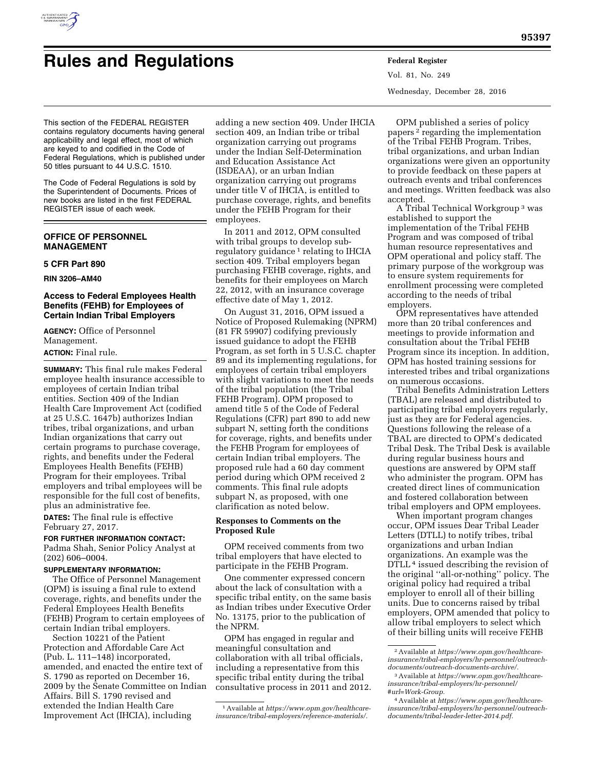

# **Rules and Regulations Federal Register**

Vol. 81, No. 249 Wednesday, December 28, 2016

This section of the FEDERAL REGISTER contains regulatory documents having general applicability and legal effect, most of which are keyed to and codified in the Code of Federal Regulations, which is published under 50 titles pursuant to 44 U.S.C. 1510.

The Code of Federal Regulations is sold by the Superintendent of Documents. Prices of new books are listed in the first FEDERAL REGISTER issue of each week.

## **OFFICE OF PERSONNEL MANAGEMENT**

## **5 CFR Part 890**

**RIN 3206–AM40** 

## **Access to Federal Employees Health Benefits (FEHB) for Employees of Certain Indian Tribal Employers**

**AGENCY:** Office of Personnel Management. **ACTION:** Final rule.

**SUMMARY:** This final rule makes Federal employee health insurance accessible to employees of certain Indian tribal entities. Section 409 of the Indian Health Care Improvement Act (codified at 25 U.S.C. 1647b) authorizes Indian tribes, tribal organizations, and urban Indian organizations that carry out certain programs to purchase coverage, rights, and benefits under the Federal Employees Health Benefits (FEHB) Program for their employees. Tribal employers and tribal employees will be responsible for the full cost of benefits, plus an administrative fee.

**DATES:** The final rule is effective February 27, 2017.

## **FOR FURTHER INFORMATION CONTACT:**

Padma Shah, Senior Policy Analyst at (202) 606–0004.

## **SUPPLEMENTARY INFORMATION:**

The Office of Personnel Management (OPM) is issuing a final rule to extend coverage, rights, and benefits under the Federal Employees Health Benefits (FEHB) Program to certain employees of certain Indian tribal employers.

Section 10221 of the Patient Protection and Affordable Care Act (Pub. L. 111–148) incorporated, amended, and enacted the entire text of S. 1790 as reported on December 16, 2009 by the Senate Committee on Indian Affairs. Bill S. 1790 revised and extended the Indian Health Care Improvement Act (IHCIA), including

adding a new section 409. Under IHCIA section 409, an Indian tribe or tribal organization carrying out programs under the Indian Self-Determination and Education Assistance Act (ISDEAA), or an urban Indian organization carrying out programs under title V of IHCIA, is entitled to purchase coverage, rights, and benefits under the FEHB Program for their employees.

In 2011 and 2012, OPM consulted with tribal groups to develop subregulatory guidance<sup>1</sup> relating to IHCIA section 409. Tribal employers began purchasing FEHB coverage, rights, and benefits for their employees on March 22, 2012, with an insurance coverage effective date of May 1, 2012.

On August 31, 2016, OPM issued a Notice of Proposed Rulemaking (NPRM) (81 FR 59907) codifying previously issued guidance to adopt the FEHB Program, as set forth in 5 U.S.C. chapter 89 and its implementing regulations, for employees of certain tribal employers with slight variations to meet the needs of the tribal population (the Tribal FEHB Program). OPM proposed to amend title 5 of the Code of Federal Regulations (CFR) part 890 to add new subpart N, setting forth the conditions for coverage, rights, and benefits under the FEHB Program for employees of certain Indian tribal employers. The proposed rule had a 60 day comment period during which OPM received 2 comments. This final rule adopts subpart N, as proposed, with one clarification as noted below.

## **Responses to Comments on the Proposed Rule**

OPM received comments from two tribal employers that have elected to participate in the FEHB Program.

One commenter expressed concern about the lack of consultation with a specific tribal entity, on the same basis as Indian tribes under Executive Order No. 13175, prior to the publication of the NPRM.

OPM has engaged in regular and meaningful consultation and collaboration with all tribal officials, including a representative from this specific tribal entity during the tribal consultative process in 2011 and 2012.

OPM published a series of policy papers 2 regarding the implementation of the Tribal FEHB Program. Tribes, tribal organizations, and urban Indian organizations were given an opportunity to provide feedback on these papers at outreach events and tribal conferences and meetings. Written feedback was also accepted.

A Tribal Technical Workgroup 3 was established to support the implementation of the Tribal FEHB Program and was composed of tribal human resource representatives and OPM operational and policy staff. The primary purpose of the workgroup was to ensure system requirements for enrollment processing were completed according to the needs of tribal employers.

OPM representatives have attended more than 20 tribal conferences and meetings to provide information and consultation about the Tribal FEHB Program since its inception. In addition, OPM has hosted training sessions for interested tribes and tribal organizations on numerous occasions.

Tribal Benefits Administration Letters (TBAL) are released and distributed to participating tribal employers regularly, just as they are for Federal agencies. Questions following the release of a TBAL are directed to OPM's dedicated Tribal Desk. The Tribal Desk is available during regular business hours and questions are answered by OPM staff who administer the program. OPM has created direct lines of communication and fostered collaboration between tribal employers and OPM employees.

When important program changes occur, OPM issues Dear Tribal Leader Letters (DTLL) to notify tribes, tribal organizations and urban Indian organizations. An example was the DTLL 4 issued describing the revision of the original ''all-or-nothing'' policy. The original policy had required a tribal employer to enroll all of their billing units. Due to concerns raised by tribal employers, OPM amended that policy to allow tribal employers to select which of their billing units will receive FEHB

<sup>1</sup>Available at *[https://www.opm.gov/healthcare](https://www.opm.gov/healthcare-insurance/tribal-employers/reference-materials/)[insurance/tribal-employers/reference-materials/.](https://www.opm.gov/healthcare-insurance/tribal-employers/reference-materials/)* 

<sup>2</sup>Available at *[https://www.opm.gov/healthcare](https://www.opm.gov/healthcare-insurance/tribal-employers/hr-personnel/outreach-documents/outreach-documents-archive/)[insurance/tribal-employers/hr-personnel/outreach](https://www.opm.gov/healthcare-insurance/tribal-employers/hr-personnel/outreach-documents/outreach-documents-archive/)[documents/outreach-documents-archive/.](https://www.opm.gov/healthcare-insurance/tribal-employers/hr-personnel/outreach-documents/outreach-documents-archive/)* 

<sup>3</sup>Available at *[https://www.opm.gov/healthcare](https://www.opm.gov/healthcare-insurance/tribal-employers/hr-personnel/#url=Work-Group)[insurance/tribal-employers/hr-personnel/](https://www.opm.gov/healthcare-insurance/tribal-employers/hr-personnel/#url=Work-Group)  [#url=Work-Group.](https://www.opm.gov/healthcare-insurance/tribal-employers/hr-personnel/#url=Work-Group)* 

<sup>4</sup>Available at *[https://www.opm.gov/healthcare](https://www.opm.gov/healthcare-insurance/tribal-employers/hr-personnel/outreach-documents/tribal-leader-letter-2014.pdf)[insurance/tribal-employers/hr-personnel/outreach](https://www.opm.gov/healthcare-insurance/tribal-employers/hr-personnel/outreach-documents/tribal-leader-letter-2014.pdf)[documents/tribal-leader-letter-2014.pdf.](https://www.opm.gov/healthcare-insurance/tribal-employers/hr-personnel/outreach-documents/tribal-leader-letter-2014.pdf)*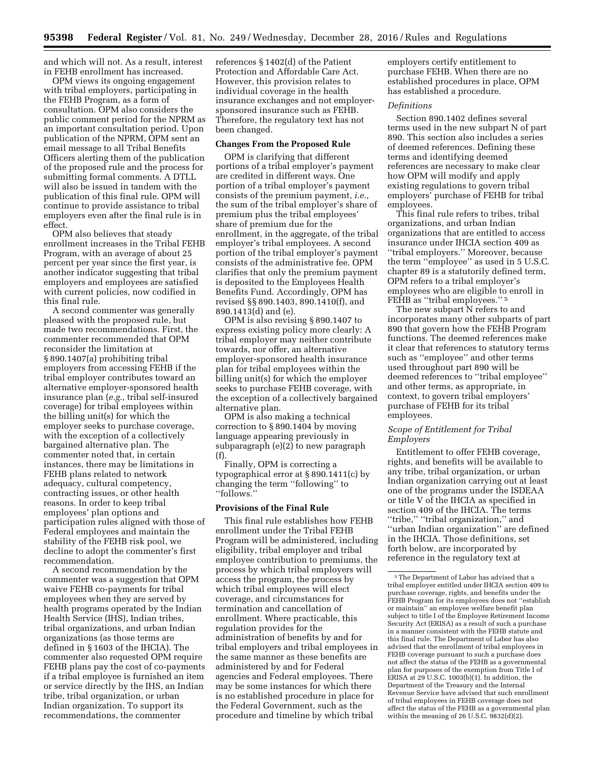and which will not. As a result, interest in FEHB enrollment has increased.

OPM views its ongoing engagement with tribal employers, participating in the FEHB Program, as a form of consultation. OPM also considers the public comment period for the NPRM as an important consultation period. Upon publication of the NPRM, OPM sent an email message to all Tribal Benefits Officers alerting them of the publication of the proposed rule and the process for submitting formal comments. A DTLL will also be issued in tandem with the publication of this final rule. OPM will continue to provide assistance to tribal employers even after the final rule is in effect.

OPM also believes that steady enrollment increases in the Tribal FEHB Program, with an average of about 25 percent per year since the first year, is another indicator suggesting that tribal employers and employees are satisfied with current policies, now codified in this final rule.

A second commenter was generally pleased with the proposed rule, but made two recommendations. First, the commenter recommended that OPM reconsider the limitation at § 890.1407(a) prohibiting tribal employers from accessing FEHB if the tribal employer contributes toward an alternative employer-sponsored health insurance plan (*e.g.,* tribal self-insured coverage) for tribal employees within the billing unit(s) for which the employer seeks to purchase coverage, with the exception of a collectively bargained alternative plan. The commenter noted that, in certain instances, there may be limitations in FEHB plans related to network adequacy, cultural competency, contracting issues, or other health reasons. In order to keep tribal employees' plan options and participation rules aligned with those of Federal employees and maintain the stability of the FEHB risk pool, we decline to adopt the commenter's first recommendation.

A second recommendation by the commenter was a suggestion that OPM waive FEHB co-payments for tribal employees when they are served by health programs operated by the Indian Health Service (IHS), Indian tribes, tribal organizations, and urban Indian organizations (as those terms are defined in § 1603 of the IHCIA). The commenter also requested OPM require FEHB plans pay the cost of co-payments if a tribal employee is furnished an item or service directly by the IHS, an Indian tribe, tribal organization, or urban Indian organization. To support its recommendations, the commenter

references § 1402(d) of the Patient Protection and Affordable Care Act. However, this provision relates to individual coverage in the health insurance exchanges and not employersponsored insurance such as FEHB. Therefore, the regulatory text has not been changed.

#### **Changes From the Proposed Rule**

OPM is clarifying that different portions of a tribal employer's payment are credited in different ways. One portion of a tribal employer's payment consists of the premium payment, *i.e.,*  the sum of the tribal employer's share of premium plus the tribal employees' share of premium due for the enrollment, in the aggregate, of the tribal employer's tribal employees. A second portion of the tribal employer's payment consists of the administrative fee. OPM clarifies that only the premium payment is deposited to the Employees Health Benefits Fund. Accordingly, OPM has revised §§ 890.1403, 890.1410(f), and 890.1413(d) and (e).

OPM is also revising § 890.1407 to express existing policy more clearly: A tribal employer may neither contribute towards, nor offer, an alternative employer-sponsored health insurance plan for tribal employees within the billing unit(s) for which the employer seeks to purchase FEHB coverage, with the exception of a collectively bargained alternative plan.

OPM is also making a technical correction to § 890.1404 by moving language appearing previously in subparagraph (e)(2) to new paragraph (f).

Finally, OPM is correcting a typographical error at § 890.1411(c) by changing the term ''following'' to ''follows.''

## **Provisions of the Final Rule**

This final rule establishes how FEHB enrollment under the Tribal FEHB Program will be administered, including eligibility, tribal employer and tribal employee contribution to premiums, the process by which tribal employers will access the program, the process by which tribal employees will elect coverage, and circumstances for termination and cancellation of enrollment. Where practicable, this regulation provides for the administration of benefits by and for tribal employers and tribal employees in the same manner as these benefits are administered by and for Federal agencies and Federal employees. There may be some instances for which there is no established procedure in place for the Federal Government, such as the procedure and timeline by which tribal

employers certify entitlement to purchase FEHB. When there are no established procedures in place, OPM has established a procedure.

#### *Definitions*

Section 890.1402 defines several terms used in the new subpart N of part 890. This section also includes a series of deemed references. Defining these terms and identifying deemed references are necessary to make clear how OPM will modify and apply existing regulations to govern tribal employers' purchase of FEHB for tribal employees.

This final rule refers to tribes, tribal organizations, and urban Indian organizations that are entitled to access insurance under IHCIA section 409 as ''tribal employers.'' Moreover, because the term ''employee'' as used in 5 U.S.C. chapter 89 is a statutorily defined term, OPM refers to a tribal employer's employees who are eligible to enroll in FEHB as "tribal employees."<sup>5</sup>

The new subpart N refers to and incorporates many other subparts of part 890 that govern how the FEHB Program functions. The deemed references make it clear that references to statutory terms such as ''employee'' and other terms used throughout part 890 will be deemed references to ''tribal employee'' and other terms, as appropriate, in context, to govern tribal employers' purchase of FEHB for its tribal employees.

## *Scope of Entitlement for Tribal Employers*

Entitlement to offer FEHB coverage, rights, and benefits will be available to any tribe, tribal organization, or urban Indian organization carrying out at least one of the programs under the ISDEAA or title V of the IHCIA as specified in section 409 of the IHCIA. The terms "tribe," "tribal organization," and ''urban Indian organization'' are defined in the IHCIA. Those definitions, set forth below, are incorporated by reference in the regulatory text at

<sup>5</sup>The Department of Labor has advised that a tribal employer entitled under IHCIA section 409 to purchase coverage, rights, and benefits under the FEHB Program for its employees does not ''establish or maintain'' an employee welfare benefit plan subject to title I of the Employee Retirement Income Security Act (ERISA) as a result of such a purchase in a manner consistent with the FEHB statute and this final rule. The Department of Labor has also advised that the enrollment of tribal employees in FEHB coverage pursuant to such a purchase does not affect the status of the FEHB as a governmental plan for purposes of the exemption from Title I of ERISA at  $29$  U.S.C. 1003(b)(1). In addition, the Department of the Treasury and the Internal Revenue Service have advised that such enrollment of tribal employees in FEHB coverage does not affect the status of the FEHB as a governmental plan within the meaning of 26 U.S.C. 9832(d)(2).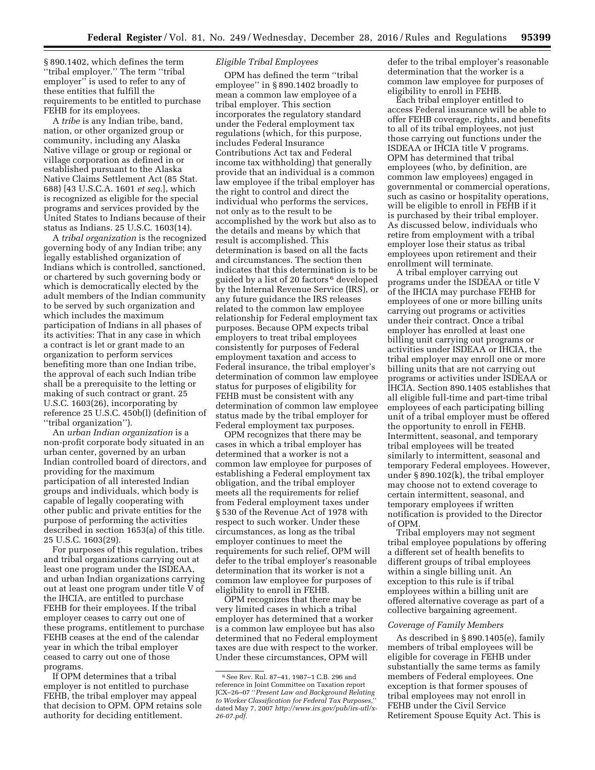§ 890.1402, which defines the term ''tribal employer.'' The term ''tribal employer'' is used to refer to any of these entities that fulfill the requirements to be entitled to purchase FEHB for its employees.

A *tribe* is any Indian tribe, band, nation, or other organized group or community, including any Alaska Native village or group or regional or village corporation as defined in or established pursuant to the Alaska Native Claims Settlement Act (85 Stat. 688) [43 U.S.C.A. 1601 *et seq.*], which is recognized as eligible for the special programs and services provided by the United States to Indians because of their status as Indians. 25 U.S.C. 1603(14).

A *tribal organization* is the recognized governing body of any Indian tribe; any legally established organization of Indians which is controlled, sanctioned, or chartered by such governing body or which is democratically elected by the adult members of the Indian community to be served by such organization and which includes the maximum participation of Indians in all phases of its activities: That in any case in which a contract is let or grant made to an organization to perform services benefiting more than one Indian tribe, the approval of each such Indian tribe shall be a prerequisite to the letting or making of such contract or grant. 25 U.S.C. 1603(26), incorporating by reference 25 U.S.C. 450b(l) (definition of ''tribal organization'').

An *urban Indian organization* is a non-profit corporate body situated in an urban center, governed by an urban Indian controlled board of directors, and providing for the maximum participation of all interested Indian groups and individuals, which body is capable of legally cooperating with other public and private entities for the purpose of performing the activities described in section 1653(a) of this title. 25 U.S.C. 1603(29).

For purposes of this regulation, tribes and tribal organizations carrying out at least one program under the ISDEAA, and urban Indian organizations carrying out at least one program under title V of the IHCIA, are entitled to purchase FEHB for their employees. If the tribal employer ceases to carry out one of these programs, entitlement to purchase FEHB ceases at the end of the calendar year in which the tribal employer ceased to carry out one of those programs.

If OPM determines that a tribal employer is not entitled to purchase FEHB, the tribal employer may appeal that decision to OPM. OPM retains sole authority for deciding entitlement.

## *Eligible Tribal Employees*

OPM has defined the term ''tribal employee'' in § 890.1402 broadly to mean a common law employee of a tribal employer. This section incorporates the regulatory standard under the Federal employment tax regulations (which, for this purpose, includes Federal Insurance Contributions Act tax and Federal income tax withholding) that generally provide that an individual is a common law employee if the tribal employer has the right to control and direct the individual who performs the services, not only as to the result to be accomplished by the work but also as to the details and means by which that result is accomplished. This determination is based on all the facts and circumstances. The section then indicates that this determination is to be guided by a list of 20 factors 6 developed by the Internal Revenue Service (IRS), or any future guidance the IRS releases related to the common law employee relationship for Federal employment tax purposes. Because OPM expects tribal employers to treat tribal employees consistently for purposes of Federal employment taxation and access to Federal insurance, the tribal employer's determination of common law employee status for purposes of eligibility for FEHB must be consistent with any determination of common law employee status made by the tribal employer for Federal employment tax purposes.

OPM recognizes that there may be cases in which a tribal employer has determined that a worker is not a common law employee for purposes of establishing a Federal employment tax obligation, and the tribal employer meets all the requirements for relief from Federal employment taxes under § 530 of the Revenue Act of 1978 with respect to such worker. Under these circumstances, as long as the tribal employer continues to meet the requirements for such relief, OPM will defer to the tribal employer's reasonable determination that its worker is not a common law employee for purposes of eligibility to enroll in FEHB.

OPM recognizes that there may be very limited cases in which a tribal employer has determined that a worker is a common law employee but has also determined that no Federal employment taxes are due with respect to the worker. Under these circumstances, OPM will

defer to the tribal employer's reasonable determination that the worker is a common law employee for purposes of eligibility to enroll in FEHB.

Each tribal employer entitled to access Federal insurance will be able to offer FEHB coverage, rights, and benefits to all of its tribal employees, not just those carrying out functions under the ISDEAA or IHCIA title V programs. OPM has determined that tribal employees (who, by definition, are common law employees) engaged in governmental or commercial operations, such as casino or hospitality operations, will be eligible to enroll in FEHB if it is purchased by their tribal employer. As discussed below, individuals who retire from employment with a tribal employer lose their status as tribal employees upon retirement and their enrollment will terminate.

A tribal employer carrying out programs under the ISDEAA or title V of the IHCIA may purchase FEHB for employees of one or more billing units carrying out programs or activities under their contract. Once a tribal employer has enrolled at least one billing unit carrying out programs or activities under ISDEAA or IHCIA, the tribal employer may enroll one or more billing units that are not carrying out programs or activities under ISDEAA or IHCIA. Section 890.1405 establishes that all eligible full-time and part-time tribal employees of each participating billing unit of a tribal employer must be offered the opportunity to enroll in FEHB. Intermittent, seasonal, and temporary tribal employees will be treated similarly to intermittent, seasonal and temporary Federal employees. However, under § 890.102(k), the tribal employer may choose not to extend coverage to certain intermittent, seasonal, and temporary employees if written notification is provided to the Director of OPM.

Tribal employers may not segment tribal employee populations by offering a different set of health benefits to different groups of tribal employees within a single billing unit. An exception to this rule is if tribal employees within a billing unit are offered alternative coverage as part of a collective bargaining agreement.

## *Coverage of Family Members*

As described in § 890.1405(e), family members of tribal employees will be eligible for coverage in FEHB under substantially the same terms as family members of Federal employees. One exception is that former spouses of tribal employees may not enroll in FEHB under the Civil Service Retirement Spouse Equity Act. This is

<sup>6</sup>See Rev. Rul. 87–41, 1987–1 C.B. 296 and reference in Joint Committee on Taxation report JCX–26–07 ''*Present Law and Background Relating to Worker Classification for Federal Tax Purposes,*'' dated May 7, 2007 *[http://www.irs.gov/pub/irs-utl/x-](http://www.irs.gov/pub/irs-utl/x-26-07.pdf)[26-07.pdf.](http://www.irs.gov/pub/irs-utl/x-26-07.pdf)*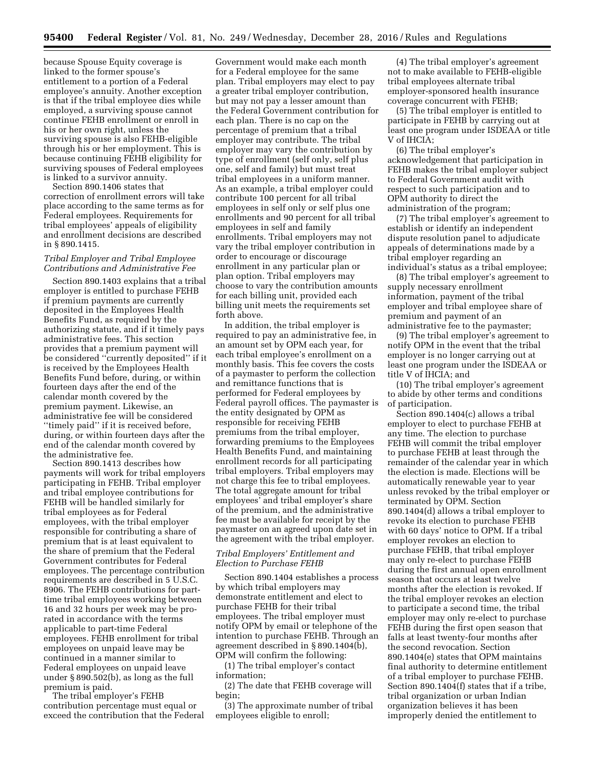because Spouse Equity coverage is linked to the former spouse's entitlement to a portion of a Federal employee's annuity. Another exception is that if the tribal employee dies while employed, a surviving spouse cannot continue FEHB enrollment or enroll in his or her own right, unless the surviving spouse is also FEHB-eligible through his or her employment. This is because continuing FEHB eligibility for surviving spouses of Federal employees is linked to a survivor annuity.

Section 890.1406 states that correction of enrollment errors will take place according to the same terms as for Federal employees. Requirements for tribal employees' appeals of eligibility and enrollment decisions are described in § 890.1415.

## *Tribal Employer and Tribal Employee Contributions and Administrative Fee*

Section 890.1403 explains that a tribal employer is entitled to purchase FEHB if premium payments are currently deposited in the Employees Health Benefits Fund, as required by the authorizing statute, and if it timely pays administrative fees. This section provides that a premium payment will be considered ''currently deposited'' if it is received by the Employees Health Benefits Fund before, during, or within fourteen days after the end of the calendar month covered by the premium payment. Likewise, an administrative fee will be considered ''timely paid'' if it is received before, during, or within fourteen days after the end of the calendar month covered by the administrative fee.

Section 890.1413 describes how payments will work for tribal employers participating in FEHB. Tribal employer and tribal employee contributions for FEHB will be handled similarly for tribal employees as for Federal employees, with the tribal employer responsible for contributing a share of premium that is at least equivalent to the share of premium that the Federal Government contributes for Federal employees. The percentage contribution requirements are described in 5 U.S.C. 8906. The FEHB contributions for parttime tribal employees working between 16 and 32 hours per week may be prorated in accordance with the terms applicable to part-time Federal employees. FEHB enrollment for tribal employees on unpaid leave may be continued in a manner similar to Federal employees on unpaid leave under § 890.502(b), as long as the full premium is paid.

The tribal employer's FEHB contribution percentage must equal or exceed the contribution that the Federal

Government would make each month for a Federal employee for the same plan. Tribal employers may elect to pay a greater tribal employer contribution, but may not pay a lesser amount than the Federal Government contribution for each plan. There is no cap on the percentage of premium that a tribal employer may contribute. The tribal employer may vary the contribution by type of enrollment (self only, self plus one, self and family) but must treat tribal employees in a uniform manner. As an example, a tribal employer could contribute 100 percent for all tribal employees in self only or self plus one enrollments and 90 percent for all tribal employees in self and family enrollments. Tribal employers may not vary the tribal employer contribution in order to encourage or discourage enrollment in any particular plan or plan option. Tribal employers may choose to vary the contribution amounts for each billing unit, provided each billing unit meets the requirements set forth above.

In addition, the tribal employer is required to pay an administrative fee, in an amount set by OPM each year, for each tribal employee's enrollment on a monthly basis. This fee covers the costs of a paymaster to perform the collection and remittance functions that is performed for Federal employees by Federal payroll offices. The paymaster is the entity designated by OPM as responsible for receiving FEHB premiums from the tribal employer, forwarding premiums to the Employees Health Benefits Fund, and maintaining enrollment records for all participating tribal employers. Tribal employers may not charge this fee to tribal employees. The total aggregate amount for tribal employees' and tribal employer's share of the premium, and the administrative fee must be available for receipt by the paymaster on an agreed upon date set in the agreement with the tribal employer.

### *Tribal Employers' Entitlement and Election to Purchase FEHB*

Section 890.1404 establishes a process by which tribal employers may demonstrate entitlement and elect to purchase FEHB for their tribal employees. The tribal employer must notify OPM by email or telephone of the intention to purchase FEHB. Through an agreement described in § 890.1404(b), OPM will confirm the following:

(1) The tribal employer's contact information;

(2) The date that FEHB coverage will begin;

(3) The approximate number of tribal employees eligible to enroll;

(4) The tribal employer's agreement not to make available to FEHB-eligible tribal employees alternate tribal employer-sponsored health insurance coverage concurrent with FEHB;

(5) The tribal employer is entitled to participate in FEHB by carrying out at least one program under ISDEAA or title V of IHCIA;

(6) The tribal employer's acknowledgement that participation in FEHB makes the tribal employer subject to Federal Government audit with respect to such participation and to OPM authority to direct the administration of the program;

(7) The tribal employer's agreement to establish or identify an independent dispute resolution panel to adjudicate appeals of determinations made by a tribal employer regarding an individual's status as a tribal employee;

(8) The tribal employer's agreement to supply necessary enrollment information, payment of the tribal employer and tribal employee share of premium and payment of an administrative fee to the paymaster;

(9) The tribal employer's agreement to notify OPM in the event that the tribal employer is no longer carrying out at least one program under the ISDEAA or title V of IHCIA; and

(10) The tribal employer's agreement to abide by other terms and conditions of participation.

Section 890.1404(c) allows a tribal employer to elect to purchase FEHB at any time. The election to purchase FEHB will commit the tribal employer to purchase FEHB at least through the remainder of the calendar year in which the election is made. Elections will be automatically renewable year to year unless revoked by the tribal employer or terminated by OPM. Section 890.1404(d) allows a tribal employer to revoke its election to purchase FEHB with 60 days' notice to OPM. If a tribal employer revokes an election to purchase FEHB, that tribal employer may only re-elect to purchase FEHB during the first annual open enrollment season that occurs at least twelve months after the election is revoked. If the tribal employer revokes an election to participate a second time, the tribal employer may only re-elect to purchase FEHB during the first open season that falls at least twenty-four months after the second revocation. Section 890.1404(e) states that OPM maintains final authority to determine entitlement of a tribal employer to purchase FEHB. Section 890.1404(f) states that if a tribe, tribal organization or urban Indian organization believes it has been improperly denied the entitlement to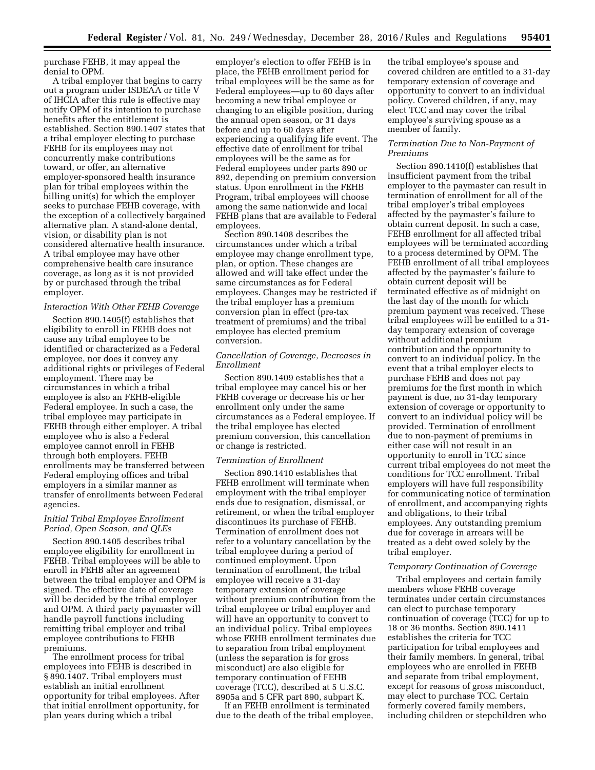purchase FEHB, it may appeal the denial to OPM.

A tribal employer that begins to carry out a program under ISDEAA or title V of IHCIA after this rule is effective may notify OPM of its intention to purchase benefits after the entitlement is established. Section 890.1407 states that a tribal employer electing to purchase FEHB for its employees may not concurrently make contributions toward, or offer, an alternative employer-sponsored health insurance plan for tribal employees within the billing unit(s) for which the employer seeks to purchase FEHB coverage, with the exception of a collectively bargained alternative plan. A stand-alone dental, vision, or disability plan is not considered alternative health insurance. A tribal employee may have other comprehensive health care insurance coverage, as long as it is not provided by or purchased through the tribal employer.

#### *Interaction With Other FEHB Coverage*

Section 890.1405(f) establishes that eligibility to enroll in FEHB does not cause any tribal employee to be identified or characterized as a Federal employee, nor does it convey any additional rights or privileges of Federal employment. There may be circumstances in which a tribal employee is also an FEHB-eligible Federal employee. In such a case, the tribal employee may participate in FEHB through either employer. A tribal employee who is also a Federal employee cannot enroll in FEHB through both employers. FEHB enrollments may be transferred between Federal employing offices and tribal employers in a similar manner as transfer of enrollments between Federal agencies.

## *Initial Tribal Employee Enrollment Period, Open Season, and QLEs*

Section 890.1405 describes tribal employee eligibility for enrollment in FEHB. Tribal employees will be able to enroll in FEHB after an agreement between the tribal employer and OPM is signed. The effective date of coverage will be decided by the tribal employer and OPM. A third party paymaster will handle payroll functions including remitting tribal employer and tribal employee contributions to FEHB premiums.

The enrollment process for tribal employees into FEHB is described in § 890.1407. Tribal employers must establish an initial enrollment opportunity for tribal employees. After that initial enrollment opportunity, for plan years during which a tribal

employer's election to offer FEHB is in place, the FEHB enrollment period for tribal employees will be the same as for Federal employees—up to 60 days after becoming a new tribal employee or changing to an eligible position, during the annual open season, or 31 days before and up to 60 days after experiencing a qualifying life event. The effective date of enrollment for tribal employees will be the same as for Federal employees under parts 890 or 892, depending on premium conversion status. Upon enrollment in the FEHB Program, tribal employees will choose among the same nationwide and local FEHB plans that are available to Federal employees.

Section 890.1408 describes the circumstances under which a tribal employee may change enrollment type, plan, or option. These changes are allowed and will take effect under the same circumstances as for Federal employees. Changes may be restricted if the tribal employer has a premium conversion plan in effect (pre-tax treatment of premiums) and the tribal employee has elected premium conversion.

## *Cancellation of Coverage, Decreases in Enrollment*

Section 890.1409 establishes that a tribal employee may cancel his or her FEHB coverage or decrease his or her enrollment only under the same circumstances as a Federal employee. If the tribal employee has elected premium conversion, this cancellation or change is restricted.

#### *Termination of Enrollment*

Section 890.1410 establishes that FEHB enrollment will terminate when employment with the tribal employer ends due to resignation, dismissal, or retirement, or when the tribal employer discontinues its purchase of FEHB. Termination of enrollment does not refer to a voluntary cancellation by the tribal employee during a period of continued employment. Upon termination of enrollment, the tribal employee will receive a 31-day temporary extension of coverage without premium contribution from the tribal employee or tribal employer and will have an opportunity to convert to an individual policy. Tribal employees whose FEHB enrollment terminates due to separation from tribal employment (unless the separation is for gross misconduct) are also eligible for temporary continuation of FEHB coverage (TCC), described at 5 U.S.C. 8905a and 5 CFR part 890, subpart K.

If an FEHB enrollment is terminated due to the death of the tribal employee,

the tribal employee's spouse and covered children are entitled to a 31-day temporary extension of coverage and opportunity to convert to an individual policy. Covered children, if any, may elect TCC and may cover the tribal employee's surviving spouse as a member of family.

## *Termination Due to Non-Payment of Premiums*

Section 890.1410(f) establishes that insufficient payment from the tribal employer to the paymaster can result in termination of enrollment for all of the tribal employer's tribal employees affected by the paymaster's failure to obtain current deposit. In such a case, FEHB enrollment for all affected tribal employees will be terminated according to a process determined by OPM. The FEHB enrollment of all tribal employees affected by the paymaster's failure to obtain current deposit will be terminated effective as of midnight on the last day of the month for which premium payment was received. These tribal employees will be entitled to a 31 day temporary extension of coverage without additional premium contribution and the opportunity to convert to an individual policy. In the event that a tribal employer elects to purchase FEHB and does not pay premiums for the first month in which payment is due, no 31-day temporary extension of coverage or opportunity to convert to an individual policy will be provided. Termination of enrollment due to non-payment of premiums in either case will not result in an opportunity to enroll in TCC since current tribal employees do not meet the conditions for TCC enrollment. Tribal employers will have full responsibility for communicating notice of termination of enrollment, and accompanying rights and obligations, to their tribal employees. Any outstanding premium due for coverage in arrears will be treated as a debt owed solely by the tribal employer.

#### *Temporary Continuation of Coverage*

Tribal employees and certain family members whose FEHB coverage terminates under certain circumstances can elect to purchase temporary continuation of coverage (TCC) for up to 18 or 36 months. Section 890.1411 establishes the criteria for TCC participation for tribal employees and their family members. In general, tribal employees who are enrolled in FEHB and separate from tribal employment, except for reasons of gross misconduct, may elect to purchase TCC. Certain formerly covered family members, including children or stepchildren who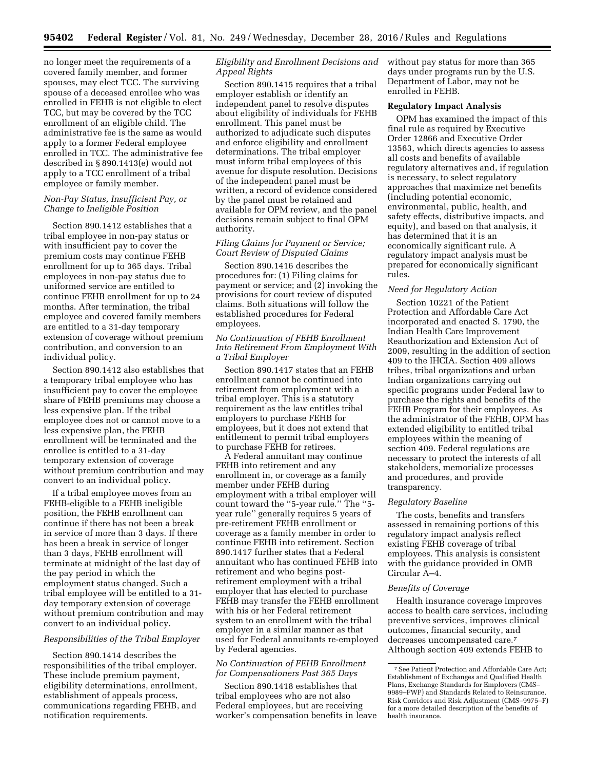no longer meet the requirements of a covered family member, and former spouses, may elect TCC. The surviving spouse of a deceased enrollee who was enrolled in FEHB is not eligible to elect TCC, but may be covered by the TCC enrollment of an eligible child. The administrative fee is the same as would apply to a former Federal employee enrolled in TCC. The administrative fee described in § 890.1413(e) would not apply to a TCC enrollment of a tribal employee or family member.

## *Non-Pay Status, Insufficient Pay, or Change to Ineligible Position*

Section 890.1412 establishes that a tribal employee in non-pay status or with insufficient pay to cover the premium costs may continue FEHB enrollment for up to 365 days. Tribal employees in non-pay status due to uniformed service are entitled to continue FEHB enrollment for up to 24 months. After termination, the tribal employee and covered family members are entitled to a 31-day temporary extension of coverage without premium contribution, and conversion to an individual policy.

Section 890.1412 also establishes that a temporary tribal employee who has insufficient pay to cover the employee share of FEHB premiums may choose a less expensive plan. If the tribal employee does not or cannot move to a less expensive plan, the FEHB enrollment will be terminated and the enrollee is entitled to a 31-day temporary extension of coverage without premium contribution and may convert to an individual policy.

If a tribal employee moves from an FEHB-eligible to a FEHB ineligible position, the FEHB enrollment can continue if there has not been a break in service of more than 3 days. If there has been a break in service of longer than 3 days, FEHB enrollment will terminate at midnight of the last day of the pay period in which the employment status changed. Such a tribal employee will be entitled to a 31 day temporary extension of coverage without premium contribution and may convert to an individual policy.

#### *Responsibilities of the Tribal Employer*

Section 890.1414 describes the responsibilities of the tribal employer. These include premium payment, eligibility determinations, enrollment, establishment of appeals process, communications regarding FEHB, and notification requirements.

## *Eligibility and Enrollment Decisions and Appeal Rights*

Section 890.1415 requires that a tribal employer establish or identify an independent panel to resolve disputes about eligibility of individuals for FEHB enrollment. This panel must be authorized to adjudicate such disputes and enforce eligibility and enrollment determinations. The tribal employer must inform tribal employees of this avenue for dispute resolution. Decisions of the independent panel must be written, a record of evidence considered by the panel must be retained and available for OPM review, and the panel decisions remain subject to final OPM authority.

## *Filing Claims for Payment or Service; Court Review of Disputed Claims*

Section 890.1416 describes the procedures for: (1) Filing claims for payment or service; and (2) invoking the provisions for court review of disputed claims. Both situations will follow the established procedures for Federal employees.

## *No Continuation of FEHB Enrollment Into Retirement From Employment With a Tribal Employer*

Section 890.1417 states that an FEHB enrollment cannot be continued into retirement from employment with a tribal employer. This is a statutory requirement as the law entitles tribal employers to purchase FEHB for employees, but it does not extend that entitlement to permit tribal employers to purchase FEHB for retirees.

A Federal annuitant may continue FEHB into retirement and any enrollment in, or coverage as a family member under FEHB during employment with a tribal employer will count toward the ''5-year rule.'' The ''5 year rule'' generally requires 5 years of pre-retirement FEHB enrollment or coverage as a family member in order to continue FEHB into retirement. Section 890.1417 further states that a Federal annuitant who has continued FEHB into retirement and who begins postretirement employment with a tribal employer that has elected to purchase FEHB may transfer the FEHB enrollment with his or her Federal retirement system to an enrollment with the tribal employer in a similar manner as that used for Federal annuitants re-employed by Federal agencies.

## *No Continuation of FEHB Enrollment for Compensationers Past 365 Days*

Section 890.1418 establishes that tribal employees who are not also Federal employees, but are receiving worker's compensation benefits in leave without pay status for more than 365 days under programs run by the U.S. Department of Labor, may not be enrolled in FEHB.

## **Regulatory Impact Analysis**

OPM has examined the impact of this final rule as required by Executive Order 12866 and Executive Order 13563, which directs agencies to assess all costs and benefits of available regulatory alternatives and, if regulation is necessary, to select regulatory approaches that maximize net benefits (including potential economic, environmental, public, health, and safety effects, distributive impacts, and equity), and based on that analysis, it has determined that it is an economically significant rule. A regulatory impact analysis must be prepared for economically significant rules.

#### *Need for Regulatory Action*

Section 10221 of the Patient Protection and Affordable Care Act incorporated and enacted S. 1790, the Indian Health Care Improvement Reauthorization and Extension Act of 2009, resulting in the addition of section 409 to the IHCIA. Section 409 allows tribes, tribal organizations and urban Indian organizations carrying out specific programs under Federal law to purchase the rights and benefits of the FEHB Program for their employees. As the administrator of the FEHB, OPM has extended eligibility to entitled tribal employees within the meaning of section 409. Federal regulations are necessary to protect the interests of all stakeholders, memorialize processes and procedures, and provide transparency.

#### *Regulatory Baseline*

The costs, benefits and transfers assessed in remaining portions of this regulatory impact analysis reflect existing FEHB coverage of tribal employees. This analysis is consistent with the guidance provided in OMB Circular A–4.

#### *Benefits of Coverage*

Health insurance coverage improves access to health care services, including preventive services, improves clinical outcomes, financial security, and decreases uncompensated care.7 Although section 409 extends FEHB to

<sup>7</sup>See Patient Protection and Affordable Care Act; Establishment of Exchanges and Qualified Health Plans, Exchange Standards for Employers (CMS– 9989–FWP) and Standards Related to Reinsurance, Risk Corridors and Risk Adjustment (CMS–9975–F) for a more detailed description of the benefits of health insurance.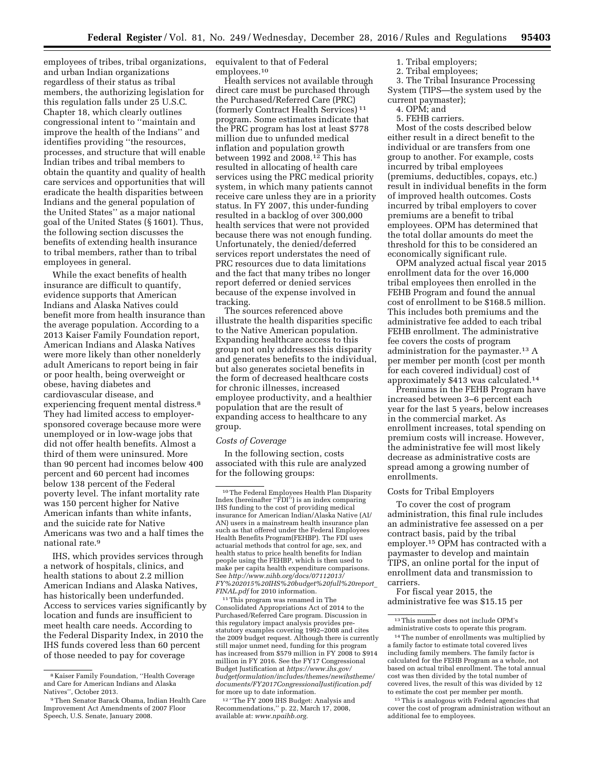employees of tribes, tribal organizations, and urban Indian organizations regardless of their status as tribal members, the authorizing legislation for this regulation falls under 25 U.S.C. Chapter 18, which clearly outlines congressional intent to ''maintain and improve the health of the Indians'' and identifies providing ''the resources, processes, and structure that will enable Indian tribes and tribal members to obtain the quantity and quality of health care services and opportunities that will eradicate the health disparities between Indians and the general population of the United States'' as a major national goal of the United States (§ 1601). Thus, the following section discusses the benefits of extending health insurance to tribal members, rather than to tribal employees in general.

While the exact benefits of health insurance are difficult to quantify, evidence supports that American Indians and Alaska Natives could benefit more from health insurance than the average population. According to a 2013 Kaiser Family Foundation report, American Indians and Alaska Natives were more likely than other nonelderly adult Americans to report being in fair or poor health, being overweight or obese, having diabetes and cardiovascular disease, and experiencing frequent mental distress.8 They had limited access to employersponsored coverage because more were unemployed or in low-wage jobs that did not offer health benefits. Almost a third of them were uninsured. More than 90 percent had incomes below 400 percent and 60 percent had incomes below 138 percent of the Federal poverty level. The infant mortality rate was 150 percent higher for Native American infants than white infants, and the suicide rate for Native Americans was two and a half times the national rate.9

IHS, which provides services through a network of hospitals, clinics, and health stations to about 2.2 million American Indians and Alaska Natives, has historically been underfunded. Access to services varies significantly by location and funds are insufficient to meet health care needs. According to the Federal Disparity Index, in 2010 the IHS funds covered less than 60 percent of those needed to pay for coverage

equivalent to that of Federal employees.10

Health services not available through direct care must be purchased through the Purchased/Referred Care (PRC) (formerly Contract Health Services) 11 program. Some estimates indicate that the PRC program has lost at least \$778 million due to unfunded medical inflation and population growth between 1992 and 2008.<sup>12</sup> This has resulted in allocating of health care services using the PRC medical priority system, in which many patients cannot receive care unless they are in a priority status. In FY 2007, this under-funding resulted in a backlog of over 300,000 health services that were not provided because there was not enough funding. Unfortunately, the denied/deferred services report understates the need of PRC resources due to data limitations and the fact that many tribes no longer report deferred or denied services because of the expense involved in tracking.

The sources referenced above illustrate the health disparities specific to the Native American population. Expanding healthcare access to this group not only addresses this disparity and generates benefits to the individual, but also generates societal benefits in the form of decreased healthcare costs for chronic illnesses, increased employee productivity, and a healthier population that are the result of expanding access to healthcare to any group.

#### *Costs of Coverage*

In the following section, costs associated with this rule are analyzed for the following groups:

11This program was renamed in The Consolidated Appropriations Act of 2014 to the Purchased/Referred Care program. Discussion in this regulatory impact analysis provides prestatutory examples covering 1992–2008 and cites the 2009 budget request. Although there is currently still major unmet need, funding for this program has increased from \$579 million in FY 2008 to \$914 million in FY 2016. See the FY17 Congressional Budget Justification at *[https://www.ihs.gov/](https://www.ihs.gov/budgetformulation/includes/themes/newihstheme/documents/FY2017CongressionalJustification.pdf)  [budgetformulation/includes/themes/newihstheme/](https://www.ihs.gov/budgetformulation/includes/themes/newihstheme/documents/FY2017CongressionalJustification.pdf)  [documents/FY2017CongressionalJustification.pdf](https://www.ihs.gov/budgetformulation/includes/themes/newihstheme/documents/FY2017CongressionalJustification.pdf)*  for more up to date information.

12 ''The FY 2009 IHS Budget: Analysis and Recommendations,'' p. 22, March 17, 2008, available at: *[www.npaihb.org.](http://www.npaihb.org)* 

2. Tribal employees;

3. The Tribal Insurance Processing System (TIPS—the system used by the current paymaster);

- 4. OPM; and
- 5. FEHB carriers.

Most of the costs described below either result in a direct benefit to the individual or are transfers from one group to another. For example, costs incurred by tribal employees (premiums, deductibles, copays, etc.) result in individual benefits in the form of improved health outcomes. Costs incurred by tribal employers to cover premiums are a benefit to tribal employees. OPM has determined that the total dollar amounts do meet the threshold for this to be considered an economically significant rule.

OPM analyzed actual fiscal year 2015 enrollment data for the over 16,000 tribal employees then enrolled in the FEHB Program and found the annual cost of enrollment to be \$168.5 million. This includes both premiums and the administrative fee added to each tribal FEHB enrollment. The administrative fee covers the costs of program administration for the paymaster.13 A per member per month (cost per month for each covered individual) cost of approximately \$413 was calculated.14

Premiums in the FEHB Program have increased between 3–6 percent each year for the last 5 years, below increases in the commercial market. As enrollment increases, total spending on premium costs will increase. However, the administrative fee will most likely decrease as administrative costs are spread among a growing number of enrollments.

#### Costs for Tribal Employers

To cover the cost of program administration, this final rule includes an administrative fee assessed on a per contract basis, paid by the tribal employer.15 OPM has contracted with a paymaster to develop and maintain TIPS, an online portal for the input of enrollment data and transmission to carriers.

For fiscal year 2015, the administrative fee was \$15.15 per

<sup>15</sup>This is analogous with Federal agencies that cover the cost of program administration without an additional fee to employees.

<sup>8</sup> Kaiser Family Foundation, ''Health Coverage and Care for American Indians and Alaska Natives'', October 2013.

<sup>9</sup>Then Senator Barack Obama, Indian Health Care Improvement Act Amendments of 2007 Floor Speech, U.S. Senate, January 2008.

<sup>10</sup>The Federal Employees Health Plan Disparity Index (hereinafter ''FDI'') is an index comparing IHS funding to the cost of providing medical insurance for American Indian/Alaska Native (AI/ AN) users in a mainstream health insurance plan such as that offered under the Federal Employees Health Benefits Program(FEHBP). The FDI uses actuarial methods that control for age, sex, and health status to price health benefits for Indian people using the FEHBP, which is then used to make per capita health expenditure comparisons. See *[http://www.nihb.org/docs/07112013/](http://www.nihb.org/docs/07112013/FY%202015%20IHS%20budget%20full%20report_FINAL.pdf)  [FY%202015%20IHS%20budget%20full%20report](http://www.nihb.org/docs/07112013/FY%202015%20IHS%20budget%20full%20report_FINAL.pdf)*\_ *[FINAL.pdf](http://www.nihb.org/docs/07112013/FY%202015%20IHS%20budget%20full%20report_FINAL.pdf)* for 2010 information.

<sup>1.</sup> Tribal employers;

<sup>13</sup>This number does not include OPM's administrative costs to operate this program.

<sup>14</sup>The number of enrollments was multiplied by a family factor to estimate total covered lives including family members. The family factor is calculated for the FEHB Program as a whole, not based on actual tribal enrollment. The total annual cost was then divided by the total number of covered lives, the result of this was divided by 12 to estimate the cost per member per month.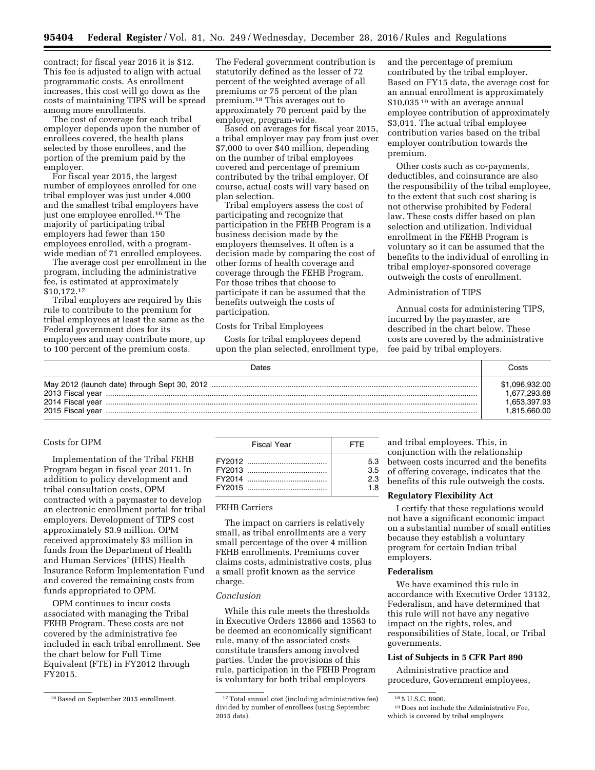contract; for fiscal year 2016 it is \$12. This fee is adjusted to align with actual programmatic costs. As enrollment increases, this cost will go down as the costs of maintaining TIPS will be spread among more enrollments.

The cost of coverage for each tribal employer depends upon the number of enrollees covered, the health plans selected by those enrollees, and the portion of the premium paid by the employer.

For fiscal year 2015, the largest number of employees enrolled for one tribal employer was just under 4,000 and the smallest tribal employers have just one employee enrolled.16 The majority of participating tribal employers had fewer than 150 employees enrolled, with a programwide median of 71 enrolled employees.

The average cost per enrollment in the program, including the administrative fee, is estimated at approximately \$10,172.17

Tribal employers are required by this rule to contribute to the premium for tribal employees at least the same as the Federal government does for its employees and may contribute more, up to 100 percent of the premium costs.

The Federal government contribution is statutorily defined as the lesser of 72 percent of the weighted average of all premiums or 75 percent of the plan premium.18 This averages out to approximately 70 percent paid by the employer, program-wide.

Based on averages for fiscal year 2015, a tribal employer may pay from just over \$7,000 to over \$40 million, depending on the number of tribal employees covered and percentage of premium contributed by the tribal employer. Of course, actual costs will vary based on plan selection.

Tribal employers assess the cost of participating and recognize that participation in the FEHB Program is a business decision made by the employers themselves. It often is a decision made by comparing the cost of other forms of health coverage and coverage through the FEHB Program. For those tribes that choose to participate it can be assumed that the benefits outweigh the costs of participation.

#### Costs for Tribal Employees

Costs for tribal employees depend upon the plan selected, enrollment type, and the percentage of premium contributed by the tribal employer. Based on FY15 data, the average cost for an annual enrollment is approximately \$10,035<sup>19</sup> with an average annual employee contribution of approximately \$3,011. The actual tribal employee contribution varies based on the tribal employer contribution towards the premium.

Other costs such as co-payments, deductibles, and coinsurance are also the responsibility of the tribal employee, to the extent that such cost sharing is not otherwise prohibited by Federal law. These costs differ based on plan selection and utilization. Individual enrollment in the FEHB Program is voluntary so it can be assumed that the benefits to the individual of enrolling in tribal employer-sponsored coverage outweigh the costs of enrollment.

#### Administration of TIPS

Annual costs for administering TIPS, incurred by the paymaster, are described in the chart below. These costs are covered by the administrative fee paid by tribal employers.

| Dates | Costs          |
|-------|----------------|
|       | \$1,096,932.00 |
|       | 1,677,293.68   |
|       | 1,653,397.93   |
|       | 1.815.660.00   |

## Costs for OPM

Implementation of the Tribal FEHB Program began in fiscal year 2011. In addition to policy development and tribal consultation costs, OPM contracted with a paymaster to develop an electronic enrollment portal for tribal employers. Development of TIPS cost approximately \$3.9 million. OPM received approximately \$3 million in funds from the Department of Health and Human Services' (HHS) Health Insurance Reform Implementation Fund and covered the remaining costs from funds appropriated to OPM.

OPM continues to incur costs associated with managing the Tribal FEHB Program. These costs are not covered by the administrative fee included in each tribal enrollment. See the chart below for Full Time Equivalent (FTE) in FY2012 through FY2015.

| Fiscal Year | <b>FTF</b> |
|-------------|------------|
|             | 5.3        |
|             | 3.5        |
|             | 2.3        |
|             | 1 R        |

## FEHB Carriers

The impact on carriers is relatively small, as tribal enrollments are a very small percentage of the over 4 million FEHB enrollments. Premiums cover claims costs, administrative costs, plus a small profit known as the service charge.

#### *Conclusion*

While this rule meets the thresholds in Executive Orders 12866 and 13563 to be deemed an economically significant rule, many of the associated costs constitute transfers among involved parties. Under the provisions of this rule, participation in the FEHB Program is voluntary for both tribal employers

and tribal employees. This, in conjunction with the relationship between costs incurred and the benefits of offering coverage, indicates that the benefits of this rule outweigh the costs.

## **Regulatory Flexibility Act**

I certify that these regulations would not have a significant economic impact on a substantial number of small entities because they establish a voluntary program for certain Indian tribal employers.

#### **Federalism**

We have examined this rule in accordance with Executive Order 13132, Federalism, and have determined that this rule will not have any negative impact on the rights, roles, and responsibilities of State, local, or Tribal governments.

#### **List of Subjects in 5 CFR Part 890**

Administrative practice and procedure, Government employees,

 $^{16}\rm{Based}$  on September 2015 enrollment.  $17$  Total annual cost (including administrative fee) divided by number of enrollees (using September 2015 data).

<sup>18</sup> 5 U.S.C. 8906.

<sup>19</sup> Does not include the Administrative Fee, which is covered by tribal employers.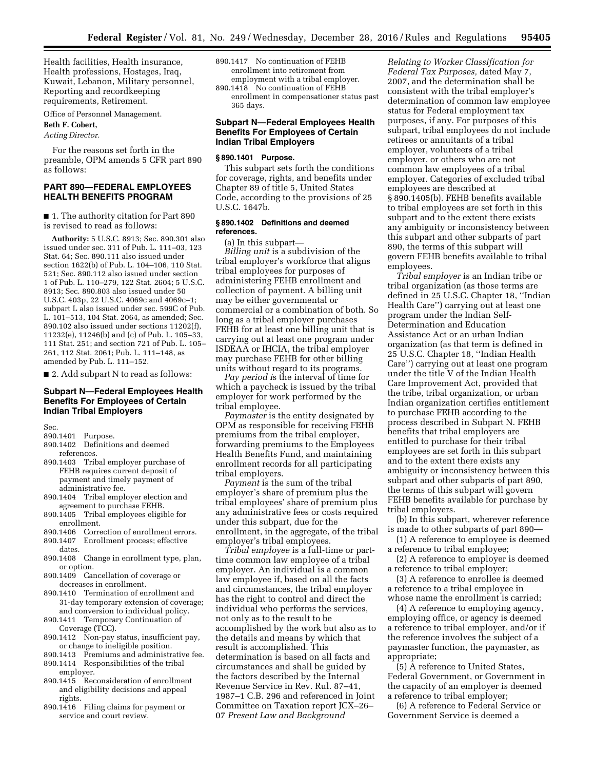Health facilities, Health insurance, Health professions, Hostages, Iraq, Kuwait, Lebanon, Military personnel, Reporting and recordkeeping requirements, Retirement.

Office of Personnel Management.

**Beth F. Cobert,** 

*Acting Director.* 

For the reasons set forth in the preamble, OPM amends 5 CFR part 890 as follows:

## **PART 890—FEDERAL EMPLOYEES HEALTH BENEFITS PROGRAM**

■ 1. The authority citation for Part 890 is revised to read as follows:

**Authority:** 5 U.S.C. 8913; Sec. 890.301 also issued under sec. 311 of Pub. L. 111–03, 123 Stat. 64; Sec. 890.111 also issued under section 1622(b) of Pub. L. 104–106, 110 Stat. 521; Sec. 890.112 also issued under section 1 of Pub. L. 110–279, 122 Stat. 2604; 5 U.S.C. 8913; Sec. 890.803 also issued under 50 U.S.C. 403p, 22 U.S.C. 4069c and 4069c–1; subpart L also issued under sec. 599C of Pub. L. 101–513, 104 Stat. 2064, as amended; Sec. 890.102 also issued under sections 11202(f), 11232(e), 11246(b) and (c) of Pub. L. 105–33, 111 Stat. 251; and section 721 of Pub. L. 105– 261, 112 Stat. 2061; Pub. L. 111–148, as amended by Pub. L. 111–152.

■ 2. Add subpart N to read as follows:

## **Subpart N—Federal Employees Health Benefits For Employees of Certain Indian Tribal Employers**

Sec.

- 890.1401 Purpose.
- 890.1402 Definitions and deemed references.
- 890.1403 Tribal employer purchase of FEHB requires current deposit of payment and timely payment of administrative fee.
- 890.1404 Tribal employer election and agreement to purchase FEHB.
- 890.1405 Tribal employees eligible for enrollment.
- 890.1406 Correction of enrollment errors.
- 890.1407 Enrollment process; effective dates.
- 890.1408 Change in enrollment type, plan, or option.
- 890.1409 Cancellation of coverage or decreases in enrollment.
- 890.1410 Termination of enrollment and 31-day temporary extension of coverage; and conversion to individual policy.
- 890.1411 Temporary Continuation of Coverage (TCC).
- 890.1412 Non-pay status, insufficient pay, or change to ineligible position.
- 890.1413 Premiums and administrative fee. 890.1414 Responsibilities of the tribal
- employer. 890.1415 Reconsideration of enrollment and eligibility decisions and appeal
- rights. 890.1416 Filing claims for payment or service and court review.
- 890.1417 No continuation of FEHB enrollment into retirement from employment with a tribal employer.
- 890.1418 No continuation of FEHB enrollment in compensationer status past 365 days.

## **Subpart N—Federal Employees Health Benefits For Employees of Certain Indian Tribal Employers**

## **§ 890.1401 Purpose.**

This subpart sets forth the conditions for coverage, rights, and benefits under Chapter 89 of title 5, United States Code, according to the provisions of 25 U.S.C. 1647b.

## **§ 890.1402 Definitions and deemed references.**

(a) In this subpart—

*Billing unit* is a subdivision of the tribal employer's workforce that aligns tribal employees for purposes of administering FEHB enrollment and collection of payment. A billing unit may be either governmental or commercial or a combination of both. So long as a tribal employer purchases FEHB for at least one billing unit that is carrying out at least one program under ISDEAA or IHCIA, the tribal employer may purchase FEHB for other billing units without regard to its programs.

*Pay period i*s the interval of time for which a paycheck is issued by the tribal employer for work performed by the tribal employee.

*Paymaster* is the entity designated by OPM as responsible for receiving FEHB premiums from the tribal employer, forwarding premiums to the Employees Health Benefits Fund, and maintaining enrollment records for all participating tribal employers.

*Payment* is the sum of the tribal employer's share of premium plus the tribal employees' share of premium plus any administrative fees or costs required under this subpart, due for the enrollment, in the aggregate, of the tribal employer's tribal employees.

*Tribal employee* is a full-time or parttime common law employee of a tribal employer. An individual is a common law employee if, based on all the facts and circumstances, the tribal employer has the right to control and direct the individual who performs the services, not only as to the result to be accomplished by the work but also as to the details and means by which that result is accomplished. This determination is based on all facts and circumstances and shall be guided by the factors described by the Internal Revenue Service in Rev. Rul. 87–41, 1987–1 C.B. 296 and referenced in Joint Committee on Taxation report JCX–26– 07 *Present Law and Background* 

*Relating to Worker Classification for Federal Tax Purposes,* dated May 7, 2007, and the determination shall be consistent with the tribal employer's determination of common law employee status for Federal employment tax purposes, if any. For purposes of this subpart, tribal employees do not include retirees or annuitants of a tribal employer, volunteers of a tribal employer, or others who are not common law employees of a tribal employer. Categories of excluded tribal employees are described at § 890.1405(b). FEHB benefits available to tribal employees are set forth in this subpart and to the extent there exists any ambiguity or inconsistency between this subpart and other subparts of part 890, the terms of this subpart will govern FEHB benefits available to tribal employees.

*Tribal employer* is an Indian tribe or tribal organization (as those terms are defined in 25 U.S.C. Chapter 18, ''Indian Health Care'') carrying out at least one program under the Indian Self-Determination and Education Assistance Act or an urban Indian organization (as that term is defined in 25 U.S.C. Chapter 18, ''Indian Health Care'') carrying out at least one program under the title V of the Indian Health Care Improvement Act, provided that the tribe, tribal organization, or urban Indian organization certifies entitlement to purchase FEHB according to the process described in Subpart N. FEHB benefits that tribal employers are entitled to purchase for their tribal employees are set forth in this subpart and to the extent there exists any ambiguity or inconsistency between this subpart and other subparts of part 890, the terms of this subpart will govern FEHB benefits available for purchase by tribal employers.

(b) In this subpart, wherever reference is made to other subparts of part 890—

(1) A reference to employee is deemed a reference to tribal employee;

(2) A reference to employer is deemed a reference to tribal employer;

(3) A reference to enrollee is deemed a reference to a tribal employee in whose name the enrollment is carried;

(4) A reference to employing agency, employing office, or agency is deemed a reference to tribal employer, and/or if the reference involves the subject of a paymaster function, the paymaster, as appropriate;

(5) A reference to United States, Federal Government, or Government in the capacity of an employer is deemed a reference to tribal employer;

(6) A reference to Federal Service or Government Service is deemed a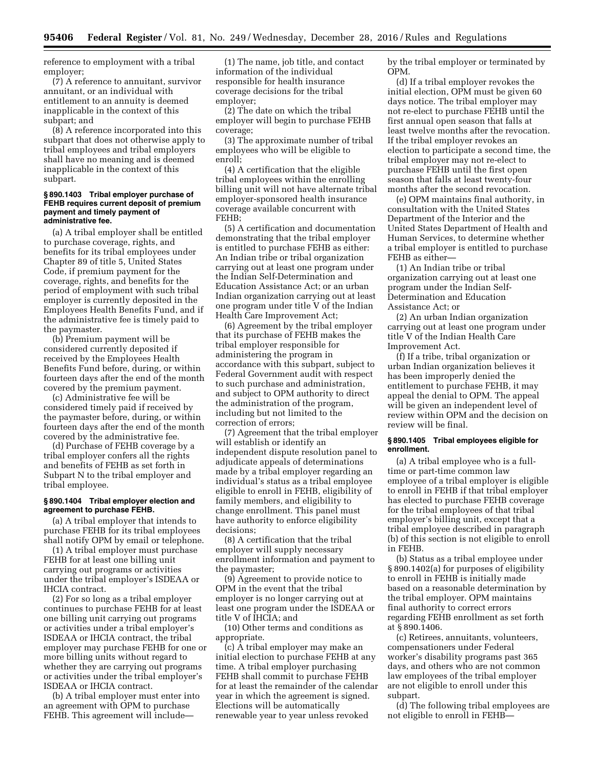reference to employment with a tribal employer;

(7) A reference to annuitant, survivor annuitant, or an individual with entitlement to an annuity is deemed inapplicable in the context of this subpart; and

(8) A reference incorporated into this subpart that does not otherwise apply to tribal employees and tribal employers shall have no meaning and is deemed inapplicable in the context of this subpart.

#### **§ 890.1403 Tribal employer purchase of FEHB requires current deposit of premium payment and timely payment of administrative fee.**

(a) A tribal employer shall be entitled to purchase coverage, rights, and benefits for its tribal employees under Chapter 89 of title 5, United States Code, if premium payment for the coverage, rights, and benefits for the period of employment with such tribal employer is currently deposited in the Employees Health Benefits Fund, and if the administrative fee is timely paid to the paymaster.

(b) Premium payment will be considered currently deposited if received by the Employees Health Benefits Fund before, during, or within fourteen days after the end of the month covered by the premium payment.

(c) Administrative fee will be considered timely paid if received by the paymaster before, during, or within fourteen days after the end of the month covered by the administrative fee.

(d) Purchase of FEHB coverage by a tribal employer confers all the rights and benefits of FEHB as set forth in Subpart N to the tribal employer and tribal employee.

#### **§ 890.1404 Tribal employer election and agreement to purchase FEHB.**

(a) A tribal employer that intends to purchase FEHB for its tribal employees shall notify OPM by email or telephone.

(1) A tribal employer must purchase FEHB for at least one billing unit carrying out programs or activities under the tribal employer's ISDEAA or IHCIA contract.

(2) For so long as a tribal employer continues to purchase FEHB for at least one billing unit carrying out programs or activities under a tribal employer's ISDEAA or IHCIA contract, the tribal employer may purchase FEHB for one or more billing units without regard to whether they are carrying out programs or activities under the tribal employer's ISDEAA or IHCIA contract.

(b) A tribal employer must enter into an agreement with OPM to purchase FEHB. This agreement will include—

(1) The name, job title, and contact information of the individual responsible for health insurance coverage decisions for the tribal employer;

(2) The date on which the tribal employer will begin to purchase FEHB coverage;

(3) The approximate number of tribal employees who will be eligible to enroll;

(4) A certification that the eligible tribal employees within the enrolling billing unit will not have alternate tribal employer-sponsored health insurance coverage available concurrent with FEHB;

(5) A certification and documentation demonstrating that the tribal employer is entitled to purchase FEHB as either: An Indian tribe or tribal organization carrying out at least one program under the Indian Self-Determination and Education Assistance Act; or an urban Indian organization carrying out at least one program under title V of the Indian Health Care Improvement Act;

(6) Agreement by the tribal employer that its purchase of FEHB makes the tribal employer responsible for administering the program in accordance with this subpart, subject to Federal Government audit with respect to such purchase and administration, and subject to OPM authority to direct the administration of the program, including but not limited to the correction of errors;

(7) Agreement that the tribal employer will establish or identify an independent dispute resolution panel to adjudicate appeals of determinations made by a tribal employer regarding an individual's status as a tribal employee eligible to enroll in FEHB, eligibility of family members, and eligibility to change enrollment. This panel must have authority to enforce eligibility decisions;

(8) A certification that the tribal employer will supply necessary enrollment information and payment to the paymaster;

(9) Agreement to provide notice to OPM in the event that the tribal employer is no longer carrying out at least one program under the ISDEAA or title V of IHCIA; and

(10) Other terms and conditions as appropriate.

(c) A tribal employer may make an initial election to purchase FEHB at any time. A tribal employer purchasing FEHB shall commit to purchase FEHB for at least the remainder of the calendar year in which the agreement is signed. Elections will be automatically renewable year to year unless revoked

by the tribal employer or terminated by OPM.

(d) If a tribal employer revokes the initial election, OPM must be given 60 days notice. The tribal employer may not re-elect to purchase FEHB until the first annual open season that falls at least twelve months after the revocation. If the tribal employer revokes an election to participate a second time, the tribal employer may not re-elect to purchase FEHB until the first open season that falls at least twenty-four months after the second revocation.

(e) OPM maintains final authority, in consultation with the United States Department of the Interior and the United States Department of Health and Human Services, to determine whether a tribal employer is entitled to purchase FEHB as either—

(1) An Indian tribe or tribal organization carrying out at least one program under the Indian Self-Determination and Education Assistance Act; or

(2) An urban Indian organization carrying out at least one program under title V of the Indian Health Care Improvement Act.

(f) If a tribe, tribal organization or urban Indian organization believes it has been improperly denied the entitlement to purchase FEHB, it may appeal the denial to OPM. The appeal will be given an independent level of review within OPM and the decision on review will be final.

## **§ 890.1405 Tribal employees eligible for enrollment.**

(a) A tribal employee who is a fulltime or part-time common law employee of a tribal employer is eligible to enroll in FEHB if that tribal employer has elected to purchase FEHB coverage for the tribal employees of that tribal employer's billing unit, except that a tribal employee described in paragraph (b) of this section is not eligible to enroll in FEHB.

(b) Status as a tribal employee under § 890.1402(a) for purposes of eligibility to enroll in FEHB is initially made based on a reasonable determination by the tribal employer. OPM maintains final authority to correct errors regarding FEHB enrollment as set forth at § 890.1406.

(c) Retirees, annuitants, volunteers, compensationers under Federal worker's disability programs past 365 days, and others who are not common law employees of the tribal employer are not eligible to enroll under this subpart.

(d) The following tribal employees are not eligible to enroll in FEHB—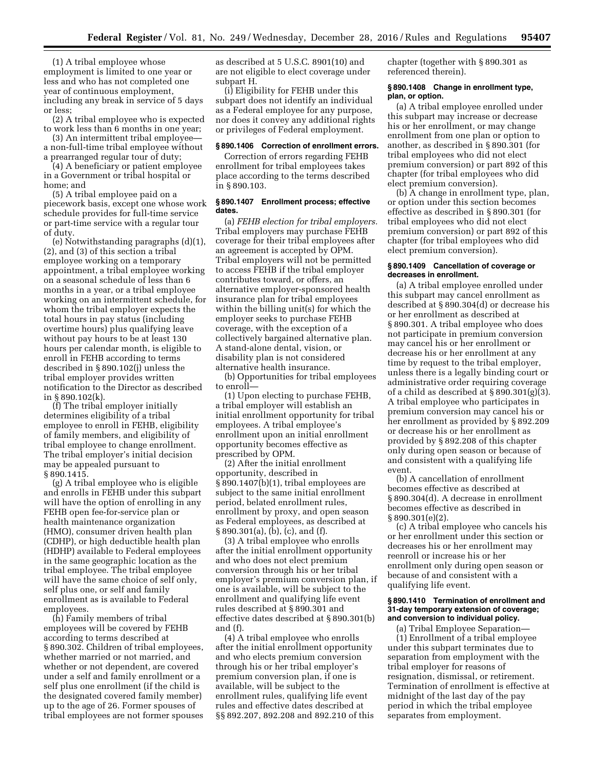(1) A tribal employee whose employment is limited to one year or less and who has not completed one year of continuous employment, including any break in service of 5 days or less;

(2) A tribal employee who is expected to work less than 6 months in one year;

(3) An intermittent tribal employee a non-full-time tribal employee without a prearranged regular tour of duty;

(4) A beneficiary or patient employee in a Government or tribal hospital or home; and

(5) A tribal employee paid on a piecework basis, except one whose work schedule provides for full-time service or part-time service with a regular tour of duty.

(e) Notwithstanding paragraphs (d)(1), (2), and (3) of this section a tribal employee working on a temporary appointment, a tribal employee working on a seasonal schedule of less than 6 months in a year, or a tribal employee working on an intermittent schedule, for whom the tribal employer expects the total hours in pay status (including overtime hours) plus qualifying leave without pay hours to be at least 130 hours per calendar month, is eligible to enroll in FEHB according to terms described in § 890.102(j) unless the tribal employer provides written notification to the Director as described in § 890.102(k).

(f) The tribal employer initially determines eligibility of a tribal employee to enroll in FEHB, eligibility of family members, and eligibility of tribal employee to change enrollment. The tribal employer's initial decision may be appealed pursuant to § 890.1415.

(g) A tribal employee who is eligible and enrolls in FEHB under this subpart will have the option of enrolling in any FEHB open fee-for-service plan or health maintenance organization (HMO), consumer driven health plan (CDHP), or high deductible health plan (HDHP) available to Federal employees in the same geographic location as the tribal employee. The tribal employee will have the same choice of self only, self plus one, or self and family enrollment as is available to Federal employees.

(h) Family members of tribal employees will be covered by FEHB according to terms described at § 890.302. Children of tribal employees, whether married or not married, and whether or not dependent, are covered under a self and family enrollment or a self plus one enrollment (if the child is the designated covered family member) up to the age of 26. Former spouses of tribal employees are not former spouses as described at 5 U.S.C. 8901(10) and are not eligible to elect coverage under subpart H.

(i) Eligibility for FEHB under this subpart does not identify an individual as a Federal employee for any purpose, nor does it convey any additional rights or privileges of Federal employment.

#### **§ 890.1406 Correction of enrollment errors.**

Correction of errors regarding FEHB enrollment for tribal employees takes place according to the terms described in § 890.103.

## **§ 890.1407 Enrollment process; effective dates.**

(a) *FEHB election for tribal employers.*  Tribal employers may purchase FEHB coverage for their tribal employees after an agreement is accepted by OPM. Tribal employers will not be permitted to access FEHB if the tribal employer contributes toward, or offers, an alternative employer-sponsored health insurance plan for tribal employees within the billing unit(s) for which the employer seeks to purchase FEHB coverage, with the exception of a collectively bargained alternative plan. A stand-alone dental, vision, or disability plan is not considered alternative health insurance.

(b) Opportunities for tribal employees to enroll—

(1) Upon electing to purchase FEHB, a tribal employer will establish an initial enrollment opportunity for tribal employees. A tribal employee's enrollment upon an initial enrollment opportunity becomes effective as prescribed by OPM.

(2) After the initial enrollment opportunity, described in § 890.1407(b)(1), tribal employees are subject to the same initial enrollment period, belated enrollment rules, enrollment by proxy, and open season as Federal employees, as described at § 890.301(a), (b), (c), and (f).

(3) A tribal employee who enrolls after the initial enrollment opportunity and who does not elect premium conversion through his or her tribal employer's premium conversion plan, if one is available, will be subject to the enrollment and qualifying life event rules described at § 890.301 and effective dates described at § 890.301(b) and (f).

(4) A tribal employee who enrolls after the initial enrollment opportunity and who elects premium conversion through his or her tribal employer's premium conversion plan, if one is available, will be subject to the enrollment rules, qualifying life event rules and effective dates described at §§ 892.207, 892.208 and 892.210 of this chapter (together with § 890.301 as referenced therein).

#### **§ 890.1408 Change in enrollment type, plan, or option.**

(a) A tribal employee enrolled under this subpart may increase or decrease his or her enrollment, or may change enrollment from one plan or option to another, as described in § 890.301 (for tribal employees who did not elect premium conversion) or part 892 of this chapter (for tribal employees who did elect premium conversion).

(b) A change in enrollment type, plan, or option under this section becomes effective as described in § 890.301 (for tribal employees who did not elect premium conversion) or part 892 of this chapter (for tribal employees who did elect premium conversion).

#### **§ 890.1409 Cancellation of coverage or decreases in enrollment.**

(a) A tribal employee enrolled under this subpart may cancel enrollment as described at § 890.304(d) or decrease his or her enrollment as described at § 890.301. A tribal employee who does not participate in premium conversion may cancel his or her enrollment or decrease his or her enrollment at any time by request to the tribal employer, unless there is a legally binding court or administrative order requiring coverage of a child as described at § 890.301(g)(3). A tribal employee who participates in premium conversion may cancel his or her enrollment as provided by § 892.209 or decrease his or her enrollment as provided by § 892.208 of this chapter only during open season or because of and consistent with a qualifying life event.

(b) A cancellation of enrollment becomes effective as described at § 890.304(d). A decrease in enrollment becomes effective as described in § 890.301(e)(2).

(c) A tribal employee who cancels his or her enrollment under this section or decreases his or her enrollment may reenroll or increase his or her enrollment only during open season or because of and consistent with a qualifying life event.

#### **§ 890.1410 Termination of enrollment and 31-day temporary extension of coverage; and conversion to individual policy.**

(a) Tribal Employee Separation— (1) Enrollment of a tribal employee under this subpart terminates due to separation from employment with the tribal employer for reasons of resignation, dismissal, or retirement. Termination of enrollment is effective at midnight of the last day of the pay period in which the tribal employee separates from employment.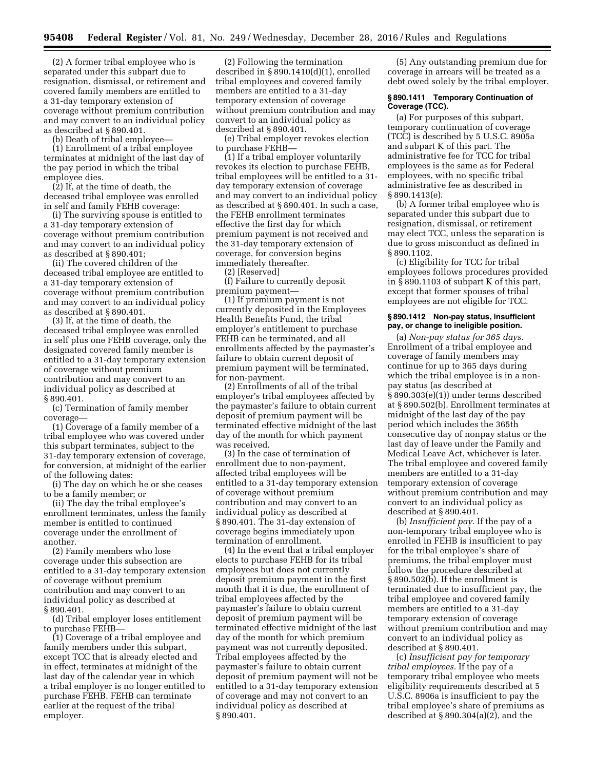(2) A former tribal employee who is separated under this subpart due to resignation, dismissal, or retirement and covered family members are entitled to a 31-day temporary extension of coverage without premium contribution and may convert to an individual policy as described at § 890.401.

(b) Death of tribal employee—

(1) Enrollment of a tribal employee terminates at midnight of the last day of the pay period in which the tribal employee dies.

(2) If, at the time of death, the deceased tribal employee was enrolled in self and family FEHB coverage:

(i) The surviving spouse is entitled to a 31-day temporary extension of coverage without premium contribution and may convert to an individual policy as described at § 890.401;

(ii) The covered children of the deceased tribal employee are entitled to a 31-day temporary extension of coverage without premium contribution and may convert to an individual policy as described at § 890.401.

(3) If, at the time of death, the deceased tribal employee was enrolled in self plus one FEHB coverage, only the designated covered family member is entitled to a 31-day temporary extension of coverage without premium contribution and may convert to an individual policy as described at § 890.401.

(c) Termination of family member coverage—

(1) Coverage of a family member of a tribal employee who was covered under this subpart terminates, subject to the 31-day temporary extension of coverage, for conversion, at midnight of the earlier of the following dates:

(i) The day on which he or she ceases to be a family member; or

(ii) The day the tribal employee's enrollment terminates, unless the family member is entitled to continued coverage under the enrollment of another.

(2) Family members who lose coverage under this subsection are entitled to a 31-day temporary extension of coverage without premium contribution and may convert to an individual policy as described at § 890.401.

(d) Tribal employer loses entitlement to purchase FEHB—

(1) Coverage of a tribal employee and family members under this subpart, except TCC that is already elected and in effect, terminates at midnight of the last day of the calendar year in which a tribal employer is no longer entitled to purchase FEHB. FEHB can terminate earlier at the request of the tribal employer.

(2) Following the termination described in § 890.1410(d)(1), enrolled tribal employees and covered family members are entitled to a 31-day temporary extension of coverage without premium contribution and may convert to an individual policy as described at § 890.401.

(e) Tribal employer revokes election to purchase FEHB—

(1) If a tribal employer voluntarily revokes its election to purchase FEHB, tribal employees will be entitled to a 31 day temporary extension of coverage and may convert to an individual policy as described at § 890.401. In such a case, the FEHB enrollment terminates effective the first day for which premium payment is not received and the 31-day temporary extension of coverage, for conversion begins immediately thereafter.

(2) [Reserved]

(f) Failure to currently deposit premium payment—

(1) If premium payment is not currently deposited in the Employees Health Benefits Fund, the tribal employer's entitlement to purchase FEHB can be terminated, and all enrollments affected by the paymaster's failure to obtain current deposit of premium payment will be terminated, for non-payment.

(2) Enrollments of all of the tribal employer's tribal employees affected by the paymaster's failure to obtain current deposit of premium payment will be terminated effective midnight of the last day of the month for which payment was received.

(3) In the case of termination of enrollment due to non-payment, affected tribal employees will be entitled to a 31-day temporary extension of coverage without premium contribution and may convert to an individual policy as described at § 890.401. The 31-day extension of coverage begins immediately upon termination of enrollment.

(4) In the event that a tribal employer elects to purchase FEHB for its tribal employees but does not currently deposit premium payment in the first month that it is due, the enrollment of tribal employees affected by the paymaster's failure to obtain current deposit of premium payment will be terminated effective midnight of the last day of the month for which premium payment was not currently deposited. Tribal employees affected by the paymaster's failure to obtain current deposit of premium payment will not be entitled to a 31-day temporary extension of coverage and may not convert to an individual policy as described at § 890.401.

(5) Any outstanding premium due for coverage in arrears will be treated as a debt owed solely by the tribal employer.

#### **§ 890.1411 Temporary Continuation of Coverage (TCC).**

(a) For purposes of this subpart, temporary continuation of coverage (TCC) is described by 5 U.S.C. 8905a and subpart K of this part. The administrative fee for TCC for tribal employees is the same as for Federal employees, with no specific tribal administrative fee as described in § 890.1413(e).

(b) A former tribal employee who is separated under this subpart due to resignation, dismissal, or retirement may elect TCC, unless the separation is due to gross misconduct as defined in § 890.1102.

(c) Eligibility for TCC for tribal employees follows procedures provided in § 890.1103 of subpart K of this part, except that former spouses of tribal employees are not eligible for TCC.

#### **§ 890.1412 Non-pay status, insufficient pay, or change to ineligible position.**

(a) *Non-pay status for 365 days.*  Enrollment of a tribal employee and coverage of family members may continue for up to 365 days during which the tribal employee is in a nonpay status (as described at § 890.303(e)(1)) under terms described at § 890.502(b). Enrollment terminates at midnight of the last day of the pay period which includes the 365th consecutive day of nonpay status or the last day of leave under the Family and Medical Leave Act, whichever is later. The tribal employee and covered family members are entitled to a 31-day temporary extension of coverage without premium contribution and may convert to an individual policy as described at § 890.401.

(b) *Insufficient pay.* If the pay of a non-temporary tribal employee who is enrolled in FEHB is insufficient to pay for the tribal employee's share of premiums, the tribal employer must follow the procedure described at § 890.502(b). If the enrollment is terminated due to insufficient pay, the tribal employee and covered family members are entitled to a 31-day temporary extension of coverage without premium contribution and may convert to an individual policy as described at § 890.401.

(c) *Insufficient pay for temporary tribal employees.* If the pay of a temporary tribal employee who meets eligibility requirements described at 5 U.S.C. 8906a is insufficient to pay the tribal employee's share of premiums as described at § 890.304(a)(2), and the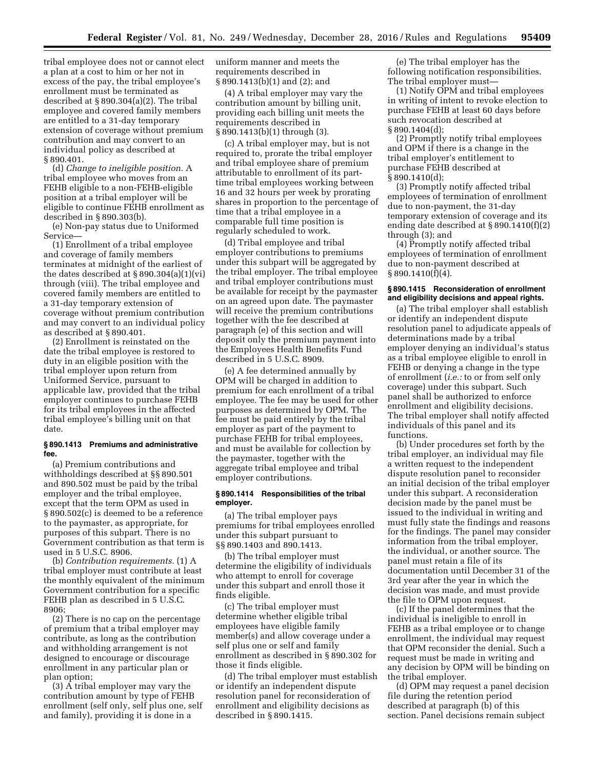tribal employee does not or cannot elect a plan at a cost to him or her not in excess of the pay, the tribal employee's enrollment must be terminated as described at § 890.304(a)(2). The tribal employee and covered family members are entitled to a 31-day temporary extension of coverage without premium contribution and may convert to an individual policy as described at § 890.401.

(d) *Change to ineligible position.* A tribal employee who moves from an FEHB eligible to a non-FEHB-eligible position at a tribal employer will be eligible to continue FEHB enrollment as described in § 890.303(b).

(e) Non-pay status due to Uniformed Service—

(1) Enrollment of a tribal employee and coverage of family members terminates at midnight of the earliest of the dates described at  $\S 890.304(a)(1)(vi)$ through (viii). The tribal employee and covered family members are entitled to a 31-day temporary extension of coverage without premium contribution and may convert to an individual policy as described at § 890.401.

(2) Enrollment is reinstated on the date the tribal employee is restored to duty in an eligible position with the tribal employer upon return from Uniformed Service, pursuant to applicable law, provided that the tribal employer continues to purchase FEHB for its tribal employees in the affected tribal employee's billing unit on that date.

#### **§ 890.1413 Premiums and administrative fee.**

(a) Premium contributions and withholdings described at §§ 890.501 and 890.502 must be paid by the tribal employer and the tribal employee, except that the term OPM as used in § 890.502(c) is deemed to be a reference to the paymaster, as appropriate, for purposes of this subpart. There is no Government contribution as that term is used in 5 U.S.C. 8906.

(b) *Contribution requirements.* (1) A tribal employer must contribute at least the monthly equivalent of the minimum Government contribution for a specific FEHB plan as described in 5 U.S.C. 8906;

(2) There is no cap on the percentage of premium that a tribal employer may contribute, as long as the contribution and withholding arrangement is not designed to encourage or discourage enrollment in any particular plan or plan option;

(3) A tribal employer may vary the contribution amount by type of FEHB enrollment (self only, self plus one, self and family), providing it is done in a

uniform manner and meets the requirements described in § 890.1413(b)(1) and (2); and

(4) A tribal employer may vary the contribution amount by billing unit, providing each billing unit meets the requirements described in § 890.1413(b)(1) through (3).

(c) A tribal employer may, but is not required to, prorate the tribal employer and tribal employee share of premium attributable to enrollment of its parttime tribal employees working between 16 and 32 hours per week by prorating shares in proportion to the percentage of time that a tribal employee in a comparable full time position is regularly scheduled to work.

(d) Tribal employee and tribal employer contributions to premiums under this subpart will be aggregated by the tribal employer. The tribal employee and tribal employer contributions must be available for receipt by the paymaster on an agreed upon date. The paymaster will receive the premium contributions together with the fee described at paragraph (e) of this section and will deposit only the premium payment into the Employees Health Benefits Fund described in 5 U.S.C. 8909.

(e) A fee determined annually by OPM will be charged in addition to premium for each enrollment of a tribal employee. The fee may be used for other purposes as determined by OPM. The fee must be paid entirely by the tribal employer as part of the payment to purchase FEHB for tribal employees, and must be available for collection by the paymaster, together with the aggregate tribal employee and tribal employer contributions.

#### **§ 890.1414 Responsibilities of the tribal employer.**

(a) The tribal employer pays premiums for tribal employees enrolled under this subpart pursuant to §§ 890.1403 and 890.1413.

(b) The tribal employer must determine the eligibility of individuals who attempt to enroll for coverage under this subpart and enroll those it finds eligible.

(c) The tribal employer must determine whether eligible tribal employees have eligible family member(s) and allow coverage under a self plus one or self and family enrollment as described in § 890.302 for those it finds eligible.

(d) The tribal employer must establish or identify an independent dispute resolution panel for reconsideration of enrollment and eligibility decisions as described in § 890.1415.

(e) The tribal employer has the following notification responsibilities. The tribal employer must—

(1) Notify OPM and tribal employees in writing of intent to revoke election to purchase FEHB at least 60 days before such revocation described at § 890.1404(d);

(2) Promptly notify tribal employees and OPM if there is a change in the tribal employer's entitlement to purchase FEHB described at § 890.1410(d);

(3) Promptly notify affected tribal employees of termination of enrollment due to non-payment, the 31-day temporary extension of coverage and its ending date described at § 890.1410(f)(2) through (3); and

(4) Promptly notify affected tribal employees of termination of enrollment due to non-payment described at § 890.1410(f)(4).

## **§ 890.1415 Reconsideration of enrollment and eligibility decisions and appeal rights.**

(a) The tribal employer shall establish or identify an independent dispute resolution panel to adjudicate appeals of determinations made by a tribal employer denying an individual's status as a tribal employee eligible to enroll in FEHB or denying a change in the type of enrollment (*i.e.:* to or from self only coverage) under this subpart. Such panel shall be authorized to enforce enrollment and eligibility decisions. The tribal employer shall notify affected individuals of this panel and its functions.

(b) Under procedures set forth by the tribal employer, an individual may file a written request to the independent dispute resolution panel to reconsider an initial decision of the tribal employer under this subpart. A reconsideration decision made by the panel must be issued to the individual in writing and must fully state the findings and reasons for the findings. The panel may consider information from the tribal employer, the individual, or another source. The panel must retain a file of its documentation until December 31 of the 3rd year after the year in which the decision was made, and must provide the file to OPM upon request.

(c) If the panel determines that the individual is ineligible to enroll in FEHB as a tribal employee or to change enrollment, the individual may request that OPM reconsider the denial. Such a request must be made in writing and any decision by OPM will be binding on the tribal employer.

(d) OPM may request a panel decision file during the retention period described at paragraph (b) of this section. Panel decisions remain subject